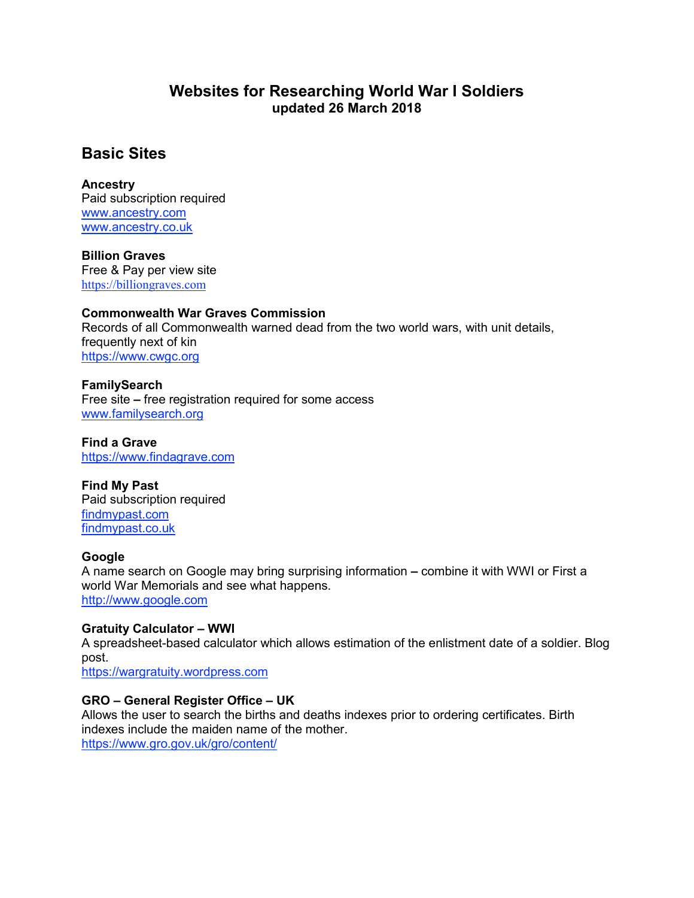## **Websites for Researching World War I Soldiers updated 26 March 2018**

# **Basic Sites**

## **Ancestry**

Paid subscription required [www.ancestry.com](http://www.ancestry.com/) [www.ancestry.co.uk](http://www.ancestry.co.uk/)

**Billion Graves** Free & Pay per view site [https://billiongraves.com](https://billiongraves.com/)

## **Commonwealth War Graves Commission**

Records of all Commonwealth warned dead from the two world wars, with unit details, frequently next of kin [https://www.cwgc.org](https://www.cwgc.org/)

## **FamilySearch**

Free site **–** free registration required for some access [www.familysearch.org](http://www.familysearch.org/)

**Find a Grave** [https://www.findagrave.com](https://www.findagrave.com/)

## **Find My Past**

Paid subscription required [findmypast.com](http://findmypast.com/) [findmypast.co.uk](http://findmypast.co.uk/)

## **Google**

A name search on Google may bring surprising information **–** combine it with WWI or First a world War Memorials and see what happens. [http://www.google.com](http://www.google.com/)

## **Gratuity Calculator – WWI**

A spreadsheet-based calculator which allows estimation of the enlistment date of a soldier. Blog post.

[https://wargratuity.wordpress.com](https://wargratuity.wordpress.com/)

## **GRO – General Register Office – UK**

Allows the user to search the births and deaths indexes prior to ordering certificates. Birth indexes include the maiden name of the mother. <https://www.gro.gov.uk/gro/content/>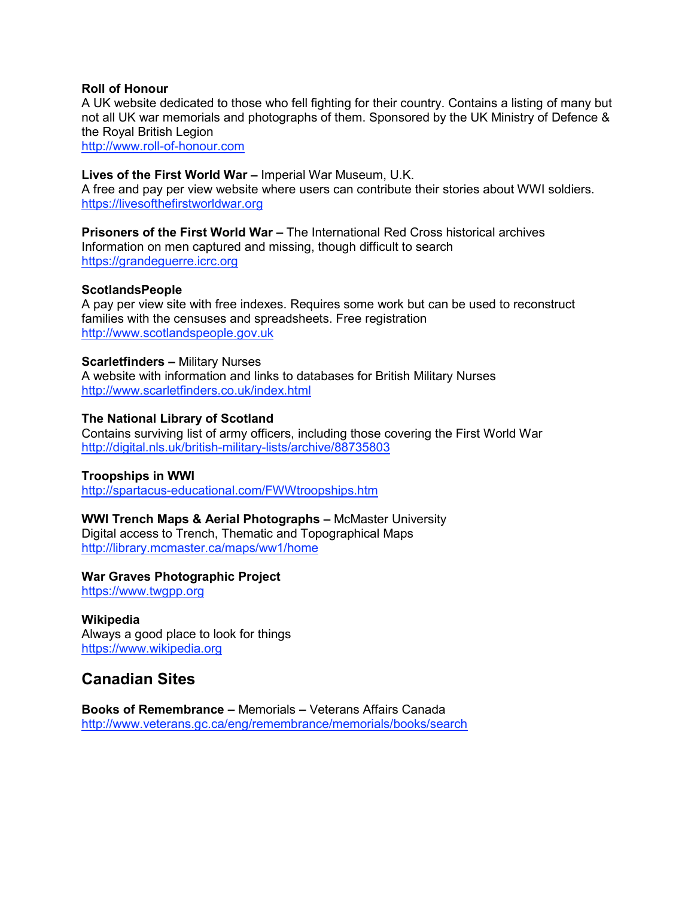#### **Roll of Honour**

A UK website dedicated to those who fell fighting for their country. Contains a listing of many but not all UK war memorials and photographs of them. Sponsored by the UK Ministry of Defence & the Royal British Legion

[http://www.roll-of-honour.com](http://www.roll-of-honour.com/)

#### **Lives of the First World War –** Imperial War Museum, U.K.

A free and pay per view website where users can contribute their stories about WWI soldiers. [https://livesofthefirstworldwar.org](https://livesofthefirstworldwar.org/)

**Prisoners of the First World War –** The International Red Cross historical archives Information on men captured and missing, though difficult to search [https://grandeguerre.icrc.org](https://grandeguerre.icrc.org/)

#### **ScotlandsPeople**

A pay per view site with free indexes. Requires some work but can be used to reconstruct families with the censuses and spreadsheets. Free registration [http://www.scotlandspeople.gov.uk](http://www.scotlandspeople.gov.uk/)

#### **Scarletfinders –** Military Nurses

A website with information and links to databases for British Military Nurses <http://www.scarletfinders.co.uk/index.html>

#### **The National Library of Scotland**

Contains surviving list of army officers, including those covering the First World War <http://digital.nls.uk/british-military-lists/archive/88735803>

## **Troopships in WWI**

<http://spartacus-educational.com/FWWtroopships.htm>

#### **WWI Trench Maps & Aerial Photographs –** McMaster University

Digital access to Trench, Thematic and Topographical Maps <http://library.mcmaster.ca/maps/ww1/home>

## **War Graves Photographic Project**

[https://www.twgpp.org](https://www.twgpp.org/)

#### **Wikipedia** Always a good place to look for things [https://www.wikipedia.org](https://www.wikipedia.org/)

## **Canadian Sites**

**Books of Remembrance –** Memorials **–** Veterans Affairs Canada <http://www.veterans.gc.ca/eng/remembrance/memorials/books/search>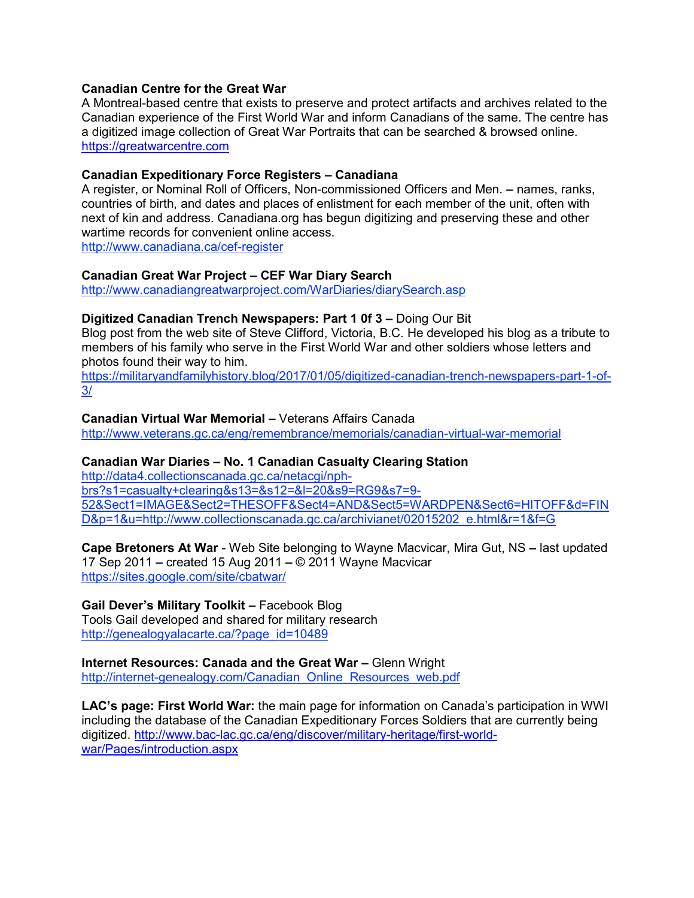## **Canadian Centre for the Great War**

A Montreal-based centre that exists to preserve and protect artifacts and archives related to the Canadian experience of the First World War and inform Canadians of the same. The centre has a digitized image collection of Great War Portraits that can be searched & browsed online. [https://greatwarcentre.com](https://greatwarcentre.com/)

#### **Canadian Expeditionary Force Registers – Canadiana**

A register, or Nominal Roll of Officers, Non-commissioned Officers and Men. **–** names, ranks, countries of birth, and dates and places of enlistment for each member of the unit, often with next of kin and address. Canadiana.org has begun digitizing and preserving these and other wartime records for convenient online access. <http://www.canadiana.ca/cef-register>

#### **Canadian Great War Project – CEF War Diary Search**

<http://www.canadiangreatwarproject.com/WarDiaries/diarySearch.asp>

## **Digitized Canadian Trench Newspapers: Part 1 0f 3 –** Doing Our Bit

Blog post from the web site of Steve Clifford, Victoria, B.C. He developed his blog as a tribute to members of his family who serve in the First World War and other soldiers whose letters and photos found their way to him.

[https://militaryandfamilyhistory.blog/2017/01/05/digitized-canadian-trench-newspapers-part-1-of-](https://militaryandfamilyhistory.blog/2017/01/05/digitized-canadian-trench-newspapers-part-1-of-3/)[3/](https://militaryandfamilyhistory.blog/2017/01/05/digitized-canadian-trench-newspapers-part-1-of-3/)

#### **Canadian Virtual War Memorial –** Veterans Affairs Canada

<http://www.veterans.gc.ca/eng/remembrance/memorials/canadian-virtual-war-memorial>

## **Canadian War Diaries – No. 1 Canadian Casualty Clearing Station**

[http://data4.collectionscanada.gc.ca/netacgi/nph](http://data4.collectionscanada.gc.ca/netacgi/nph-brs?s1=casualty+clearing&s13=&s12=&l=20&s9=RG9&s7=9-52&Sect1=IMAGE&Sect2=THESOFF&Sect4=AND&Sect5=WARDPEN&Sect6=HITOFF&d=FIND&p=1&u=http://www.collectionscanada.gc.ca/archivianet/02015202_e.html&r=1&f=G)[brs?s1=casualty+clearing&s13=&s12=&l=20&s9=RG9&s7=9-](http://data4.collectionscanada.gc.ca/netacgi/nph-brs?s1=casualty+clearing&s13=&s12=&l=20&s9=RG9&s7=9-52&Sect1=IMAGE&Sect2=THESOFF&Sect4=AND&Sect5=WARDPEN&Sect6=HITOFF&d=FIND&p=1&u=http://www.collectionscanada.gc.ca/archivianet/02015202_e.html&r=1&f=G) [52&Sect1=IMAGE&Sect2=THESOFF&Sect4=AND&Sect5=WARDPEN&Sect6=HITOFF&d=FIN](http://data4.collectionscanada.gc.ca/netacgi/nph-brs?s1=casualty+clearing&s13=&s12=&l=20&s9=RG9&s7=9-52&Sect1=IMAGE&Sect2=THESOFF&Sect4=AND&Sect5=WARDPEN&Sect6=HITOFF&d=FIND&p=1&u=http://www.collectionscanada.gc.ca/archivianet/02015202_e.html&r=1&f=G) [D&p=1&u=http://www.collectionscanada.gc.ca/archivianet/02015202\\_e.html&r=1&f=G](http://data4.collectionscanada.gc.ca/netacgi/nph-brs?s1=casualty+clearing&s13=&s12=&l=20&s9=RG9&s7=9-52&Sect1=IMAGE&Sect2=THESOFF&Sect4=AND&Sect5=WARDPEN&Sect6=HITOFF&d=FIND&p=1&u=http://www.collectionscanada.gc.ca/archivianet/02015202_e.html&r=1&f=G)

**Cape Bretoners At War** - Web Site belonging to Wayne Macvicar, Mira Gut, NS **–** last updated 17 Sep 2011 **–** created 15 Aug 2011 **–** © 2011 Wayne Macvicar <https://sites.google.com/site/cbatwar/>

## **Gail Dever's Military Toolkit –** Facebook Blog

Tools Gail developed and shared for military research [http://genealogyalacarte.ca/?page\\_id=10489](http://genealogyalacarte.ca/?page_id=10489)

## **Internet Resources: Canada and the Great War –** Glenn Wright

[http://internet-genealogy.com/Canadian\\_Online\\_Resources\\_web.pdf](http://internet-genealogy.com/Canadian_Online_Resources_web.pdf)

**LAC's page: First World War:** the main page for information on Canada's participation in WWI including the database of the Canadian Expeditionary Forces Soldiers that are currently being digitized. [http://www.bac-lac.gc.ca/eng/discover/military-heritage/first-world](http://www.bac-lac.gc.ca/eng/discover/military-heritage/first-world-war/Pages/introduction.aspx)[war/Pages/introduction.aspx](http://www.bac-lac.gc.ca/eng/discover/military-heritage/first-world-war/Pages/introduction.aspx)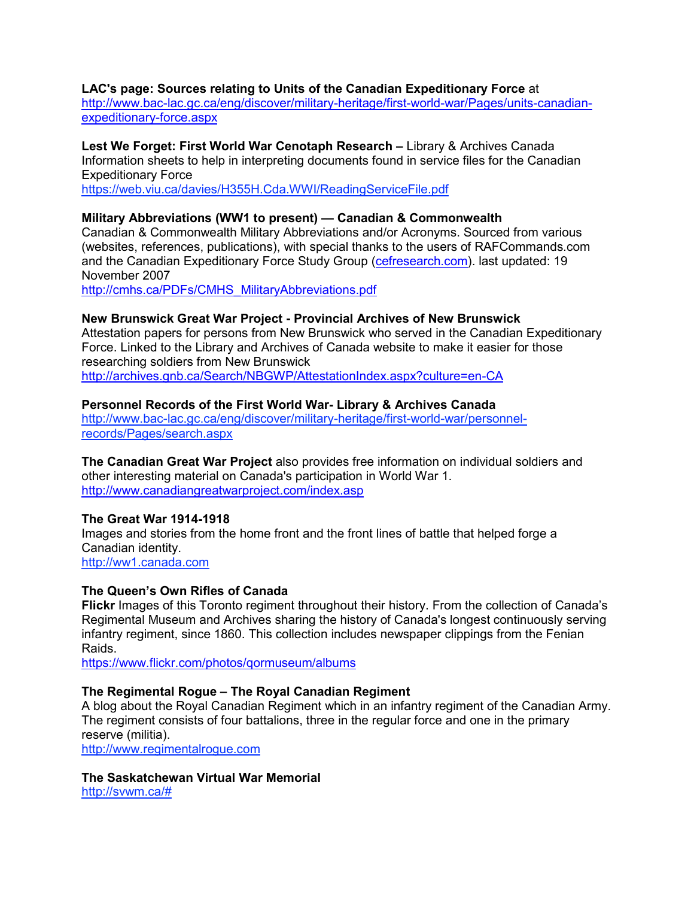#### **LAC's page: Sources relating to Units of the Canadian Expeditionary Force** at

[http://www.bac-lac.gc.ca/eng/discover/military-heritage/first-world-war/Pages/units-canadian](http://www.bac-lac.gc.ca/eng/discover/military-heritage/first-world-war/Pages/units-canadian-expeditionary-force.aspx)[expeditionary-force.aspx](http://www.bac-lac.gc.ca/eng/discover/military-heritage/first-world-war/Pages/units-canadian-expeditionary-force.aspx)

## **Lest We Forget: First World War Cenotaph Research –** Library & Archives Canada Information sheets to help in interpreting documents found in service files for the Canadian Expeditionary Force

<https://web.viu.ca/davies/H355H.Cda.WWI/ReadingServiceFile.pdf>

## **Military Abbreviations (WW1 to present) — Canadian & Commonwealth**

Canadian & Commonwealth Military Abbreviations and/or Acronyms. Sourced from various (websites, references, publications), with special thanks to the users of RAFCommands.com and the Canadian Expeditionary Force Study Group [\(cefresearch.com\)](http://cefresearch.com/). last updated: 19 November 2007

[http://cmhs.ca/PDFs/CMHS\\_MilitaryAbbreviations.pdf](http://cmhs.ca/PDFs/CMHS_MilitaryAbbreviations.pdf)

#### **New Brunswick Great War Project - Provincial Archives of New Brunswick**

Attestation papers for persons from New Brunswick who served in the Canadian Expeditionary Force. Linked to the Library and Archives of Canada website to make it easier for those researching soldiers from New Brunswick <http://archives.gnb.ca/Search/NBGWP/AttestationIndex.aspx?culture=en-CA>

#### **Personnel Records of the First World War- Library & Archives Canada**

[http://www.bac-lac.gc.ca/eng/discover/military-heritage/first-world-war/personnel](http://www.bac-lac.gc.ca/eng/discover/military-heritage/first-world-war/personnel-records/Pages/search.aspx)[records/Pages/search.aspx](http://www.bac-lac.gc.ca/eng/discover/military-heritage/first-world-war/personnel-records/Pages/search.aspx)

**The Canadian Great War Project** also provides free information on individual soldiers and other interesting material on Canada's participation in World War 1. <http://www.canadiangreatwarproject.com/index.asp>

#### **The Great War 1914-1918**

Images and stories from the home front and the front lines of battle that helped forge a Canadian identity. [http://ww1.canada.com](http://ww1.canada.com/)

#### **The Queen's Own Rifles of Canada**

**Flickr** Images of this Toronto regiment throughout their history. From the collection of Canada's Regimental Museum and Archives sharing the history of Canada's longest continuously serving infantry regiment, since 1860. This collection includes newspaper clippings from the Fenian Raids.

<https://www.flickr.com/photos/qormuseum/albums>

#### **The Regimental Rogue – The Royal Canadian Regiment**

A blog about the Royal Canadian Regiment which in an infantry regiment of the Canadian Army. The regiment consists of four battalions, three in the regular force and one in the primary reserve (militia).

[http://www.regimentalrogue.com](http://www.regimentalrogue.com/)

## **The Saskatchewan Virtual War Memorial**

[http://svwm.ca/#](http://svwm.ca/)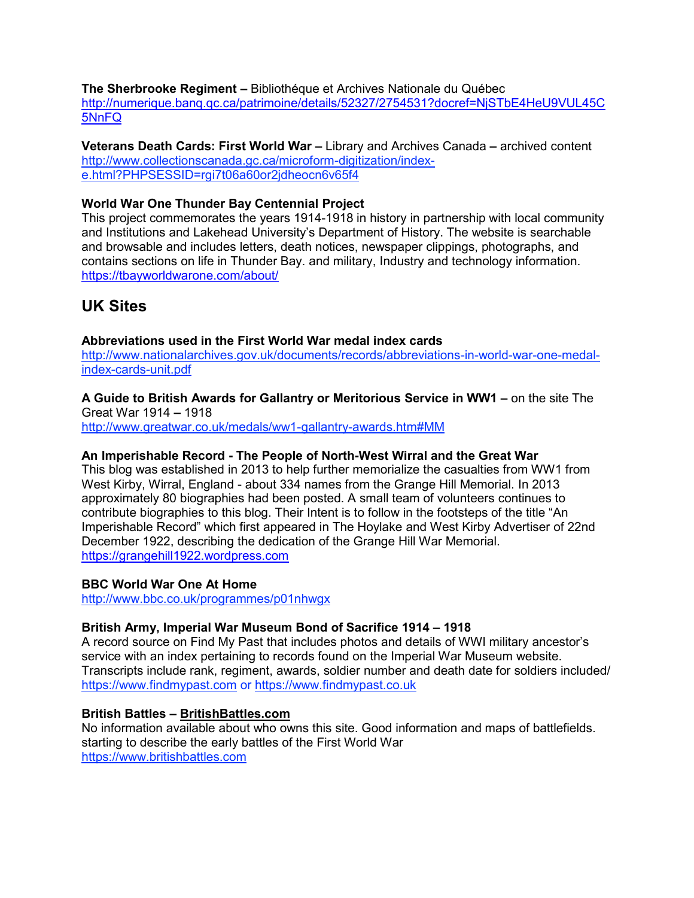**The Sherbrooke Regiment –** Bibliothéque et Archives Nationale du Québec [http://numerique.banq.qc.ca/patrimoine/details/52327/2754531?docref=NjSTbE4HeU9VUL45C](http://numerique.banq.qc.ca/patrimoine/details/52327/2754531?docref=NjSTbE4HeU9VUL45C5NnFQ) [5NnFQ](http://numerique.banq.qc.ca/patrimoine/details/52327/2754531?docref=NjSTbE4HeU9VUL45C5NnFQ)

**Veterans Death Cards: First World War –** Library and Archives Canada **–** archived content [http://www.collectionscanada.gc.ca/microform-digitization/index](http://www.collectionscanada.gc.ca/microform-digitization/index-e.html?PHPSESSID=rgi7t06a60or2jdheocn6v65f4)[e.html?PHPSESSID=rgi7t06a60or2jdheocn6v65f4](http://www.collectionscanada.gc.ca/microform-digitization/index-e.html?PHPSESSID=rgi7t06a60or2jdheocn6v65f4)

## **World War One Thunder Bay Centennial Project**

This project commemorates the years 1914-1918 in history in partnership with local community and Institutions and Lakehead University's Department of History. The website is searchable and browsable and includes letters, death notices, newspaper clippings, photographs, and contains sections on life in Thunder Bay. and military, Industry and technology information. <https://tbayworldwarone.com/about/>

# **UK Sites**

#### **Abbreviations used in the First World War medal index cards**

[http://www.nationalarchives.gov.uk/documents/records/abbreviations-in-world-war-one-medal](http://www.nationalarchives.gov.uk/documents/records/abbreviations-in-world-war-one-medal-index-cards-unit.pdf)[index-cards-unit.pdf](http://www.nationalarchives.gov.uk/documents/records/abbreviations-in-world-war-one-medal-index-cards-unit.pdf)

**A Guide to British Awards for Gallantry or Meritorious Service in WW1 –** on the site The Great War 1914 **–** 1918

<http://www.greatwar.co.uk/medals/ww1-gallantry-awards.htm#MM>

#### **An Imperishable Record - The People of North-West Wirral and the Great War**

This blog was established in 2013 to help further memorialize the casualties from WW1 from West Kirby, Wirral, England - about 334 names from the Grange Hill Memorial. In 2013 approximately 80 biographies had been posted. A small team of volunteers continues to contribute biographies to this blog. Their Intent is to follow in the footsteps of the title "An Imperishable Record" which first appeared in The Hoylake and West Kirby Advertiser of 22nd December 1922, describing the dedication of the Grange Hill War Memorial. [https://grangehill1922.wordpress.com](https://grangehill1922.wordpress.com/)

#### **BBC World War One At Home**

<http://www.bbc.co.uk/programmes/p01nhwgx>

## **British Army, Imperial War Museum Bond of Sacrifice 1914 – 1918**

A record source on Find My Past that includes photos and details of WWI military ancestor's service with an index pertaining to records found on the Imperial War Museum website. Transcripts include rank, regiment, awards, soldier number and death date for soldiers included/ [https://www.findmypast.com](https://www.findmypast.com/) or [https://www.findmypast.co.uk](https://www.findmypast.co.uk/)

## **British Battles – [BritishBattles.com](http://britishbattles.com/)**

No information available about who owns this site. Good information and maps of battlefields. starting to describe the early battles of the First World War [https://www.britishbattles.com](https://www.britishbattles.com/)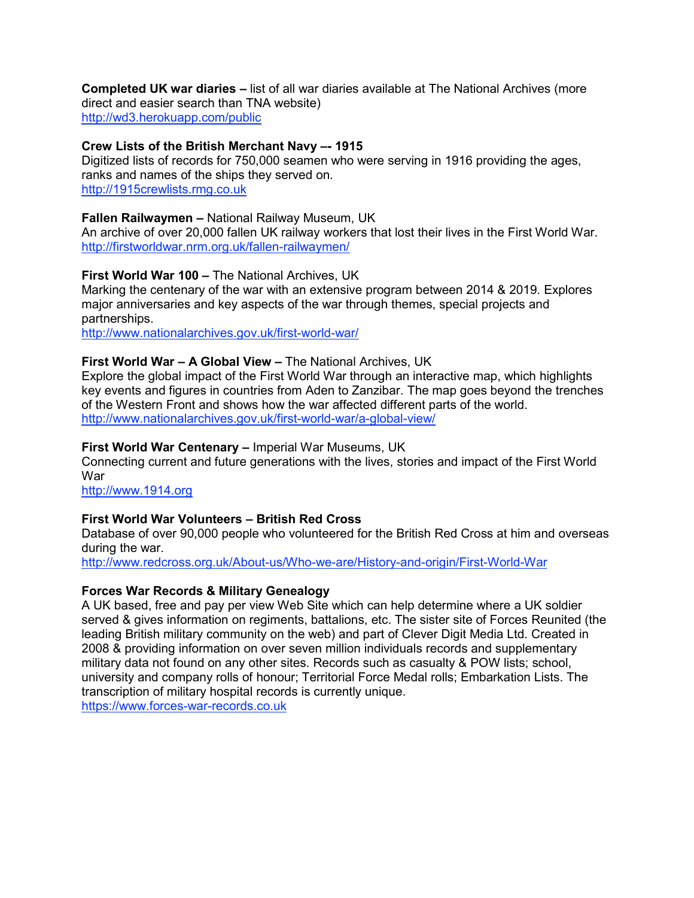#### **Completed UK war diaries –** list of all war diaries available at The National Archives (more direct and easier search than TNA website)

<http://wd3.herokuapp.com/public>

## **Crew Lists of the British Merchant Navy –- 1915**

Digitized lists of records for 750,000 seamen who were serving in 1916 providing the ages, ranks and names of the ships they served on. [http://1915crewlists.rmg.co.uk](http://1915crewlists.rmg.co.uk/)

#### **Fallen Railwaymen –** National Railway Museum, UK

An archive of over 20,000 fallen UK railway workers that lost their lives in the First World War. <http://firstworldwar.nrm.org.uk/fallen-railwaymen/>

#### **First World War 100 –** The National Archives, UK

Marking the centenary of the war with an extensive program between 2014 & 2019. Explores major anniversaries and key aspects of the war through themes, special projects and partnerships.

<http://www.nationalarchives.gov.uk/first-world-war/>

#### **First World War – A Global View –** The National Archives, UK

Explore the global impact of the First World War through an interactive map, which highlights key events and figures in countries from Aden to Zanzibar. The map goes beyond the trenches of the Western Front and shows how the war affected different parts of the world. <http://www.nationalarchives.gov.uk/first-world-war/a-global-view/>

#### **First World War Centenary –** Imperial War Museums, UK

Connecting current and future generations with the lives, stories and impact of the First World War

[http://www.1914.org](http://www.1914.org/)

## **First World War Volunteers – British Red Cross**

Database of over 90,000 people who volunteered for the British Red Cross at him and overseas during the war.

<http://www.redcross.org.uk/About-us/Who-we-are/History-and-origin/First-World-War>

#### **Forces War Records & Military Genealogy**

A UK based, free and pay per view Web Site which can help determine where a UK soldier served & gives information on regiments, battalions, etc. The sister site of Forces Reunited (the leading British military community on the web) and part of Clever Digit Media Ltd. Created in 2008 & providing information on over seven million individuals records and supplementary military data not found on any other sites. Records such as casualty & POW lists; school, university and company rolls of honour; Territorial Force Medal rolls; Embarkation Lists. The transcription of military hospital records is currently unique.

[https://www.forces-war-records.co.uk](https://www.forces-war-records.co.uk/)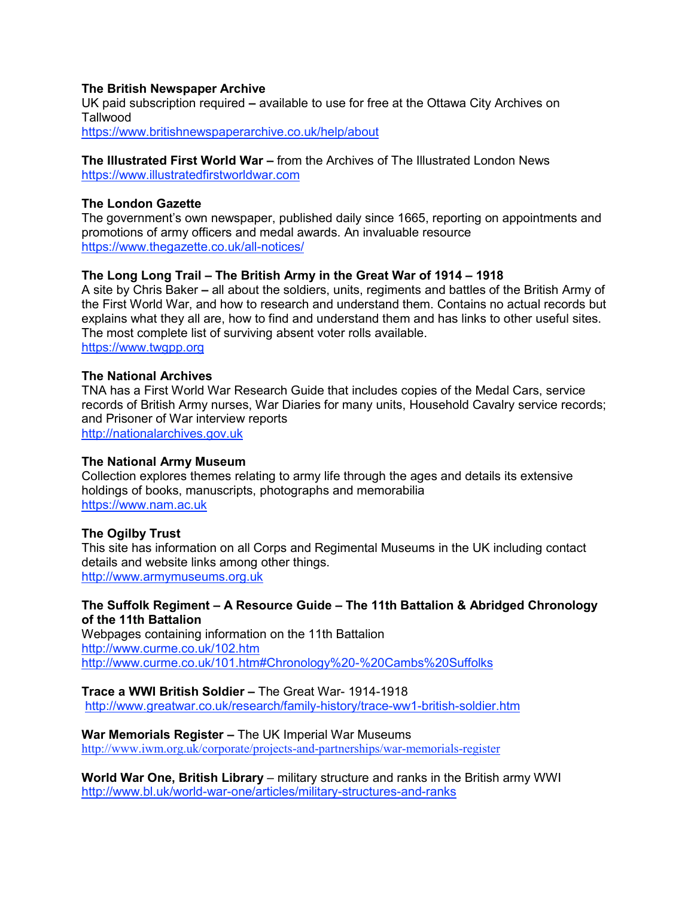#### **The British Newspaper Archive**

UK paid subscription required **–** available to use for free at the Ottawa City Archives on Tallwood <https://www.britishnewspaperarchive.co.uk/help/about>

**The Illustrated First World War –** from the Archives of The Illustrated London News [https://www.illustratedfirstworldwar.com](https://www.illustratedfirstworldwar.com/)

#### **The London Gazette**

The government's own newspaper, published daily since 1665, reporting on appointments and promotions of army officers and medal awards. An invaluable resource <https://www.thegazette.co.uk/all-notices/>

#### **The Long Long Trail – The British Army in the Great War of 1914 – 1918**

A site by Chris Baker **–** all about the soldiers, units, regiments and battles of the British Army of the First World War, and how to research and understand them. Contains no actual records but explains what they all are, how to find and understand them and has links to other useful sites. The most complete list of surviving absent voter rolls available. [https://www.twgpp.org](https://www.twgpp.org/)

#### **The National Archives**

TNA has a First World War Research Guide that includes copies of the Medal Cars, service records of British Army nurses, War Diaries for many units, Household Cavalry service records; and Prisoner of War interview reports [http://nationalarchives.gov.uk](http://nationalarchives.gov.uk/)

#### **The National Army Museum**

Collection explores themes relating to army life through the ages and details its extensive holdings of books, manuscripts, photographs and memorabilia [https://www.nam.ac.uk](https://www.nam.ac.uk/)

#### **The Ogilby Trust**

This site has information on all Corps and Regimental Museums in the UK including contact details and website links among other things. [http://www.armymuseums.org.uk](http://www.armymuseums.org.uk/)

## **The Suffolk Regiment – A Resource Guide – The 11th Battalion & Abridged Chronology of the 11th Battalion**

Webpages containing information on the 11th Battalion <http://www.curme.co.uk/102.htm> [http://www.curme.co.uk/101.htm#Chronology%20-%20Cambs%20Suffolks](http://www.curme.co.uk/101.htm#Chronology%2520-%2520Cambs%2520Suffolks)

**Trace a WWI British Soldier –** The Great War- 1914-1918 <http://www.greatwar.co.uk/research/family-history/trace-ww1-british-soldier.htm>

**War Memorials Register –** The UK Imperial War Museums <http://www.iwm.org.uk/corporate/projects-and-partnerships/war-memorials-register>

**World War One, British Library** – military structure and ranks in the British army WWI <http://www.bl.uk/world-war-one/articles/military-structures-and-ranks>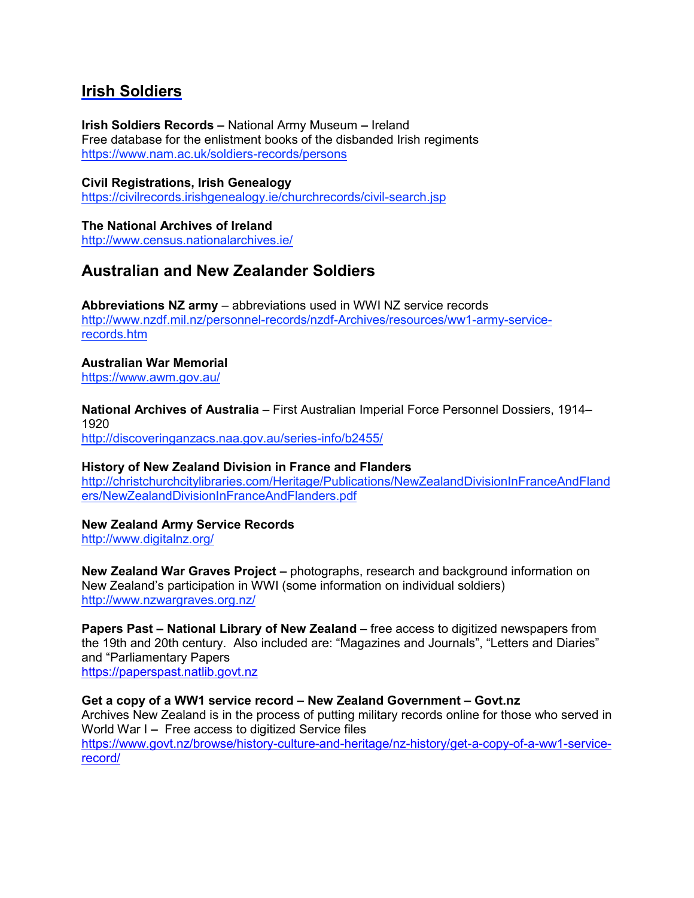# **Irish Soldiers**

**Irish Soldiers Records –** National Army Museum **–** Ireland Free database for the enlistment books of the disbanded Irish regiments <https://www.nam.ac.uk/soldiers-records/persons>

**Civil Registrations, Irish Genealogy** <https://civilrecords.irishgenealogy.ie/churchrecords/civil-search.jsp>

**The National Archives of Ireland** <http://www.census.nationalarchives.ie/>

# **Australian and New Zealander Soldiers**

**Abbreviations NZ army** – abbreviations used in WWI NZ service records [http://www.nzdf.mil.nz/personnel-records/nzdf-Archives/resources/ww1-army-service](http://www.nzdf.mil.nz/personnel-records/nzdf-Archives/resources/ww1-army-service-records.htm)[records.htm](http://www.nzdf.mil.nz/personnel-records/nzdf-Archives/resources/ww1-army-service-records.htm)

**Australian War Memorial** https://www.awm.gov.au/

**National Archives of Australia** – First Australian Imperial Force Personnel Dossiers, 1914– 1920 <http://discoveringanzacs.naa.gov.au/series-info/b2455/>

**History of New Zealand Division in France and Flanders**

http://christchurchcitylibraries.com/Heritage/Publications/NewZealandDivisionInFranceAndFland ers/NewZealandDivisionInFranceAndFlanders.pdf

## **New Zealand Army Service Records**

http://www.digitalnz.org/

**New Zealand War Graves Project –** photographs, research and background information on New Zealand's participation in WWI (some information on individual soldiers) <http://www.nzwargraves.org.nz/>

**Papers Past – National Library of New Zealand** – free access to digitized newspapers from the 19th and 20th century. Also included are: "Magazines and Journals", "Letters and Diaries" and "Parliamentary Papers [https://paperspast.natlib.govt.nz](https://paperspast.natlib.govt.nz/)

## **Get a copy of a WW1 service record – New Zealand Government – Govt.nz**

Archives New Zealand is in the process of putting military records online for those who served in World War I **–** Free access to digitized Service files [https://www.govt.nz/browse/history-culture-and-heritage/nz-history/get-a-copy-of-a-ww1-service](https://www.govt.nz/browse/history-culture-and-heritage/nz-history/get-a-copy-of-a-ww1-service-record/)[record/](https://www.govt.nz/browse/history-culture-and-heritage/nz-history/get-a-copy-of-a-ww1-service-record/)